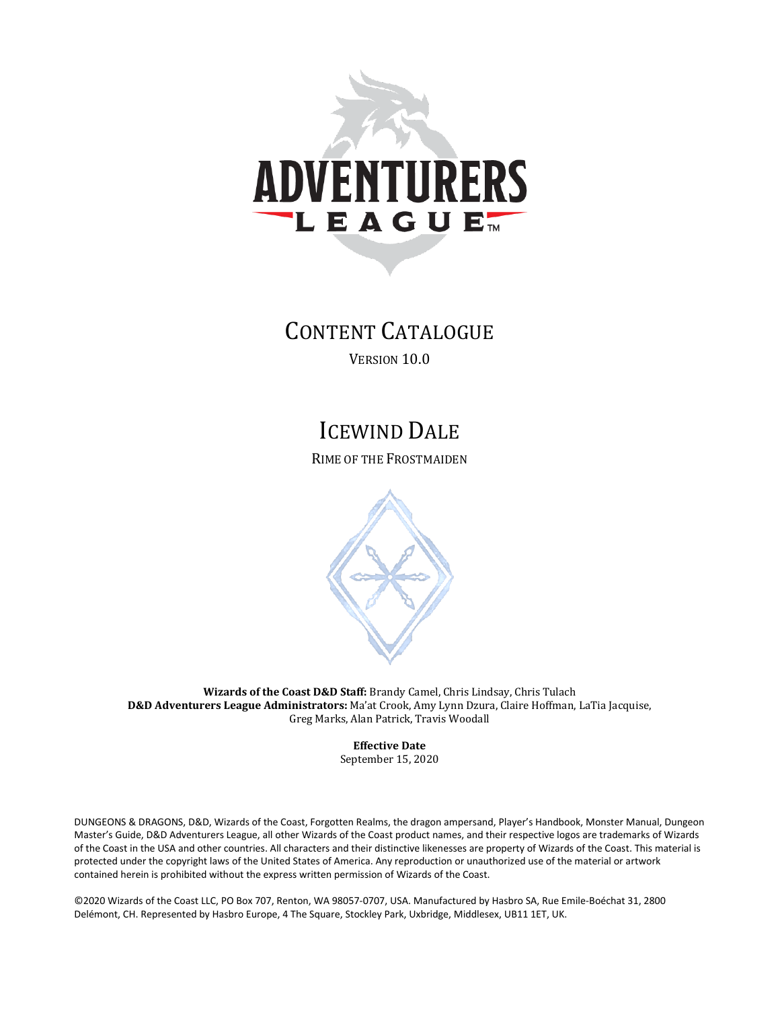

# CONTENT CATALOGUE

VERSION 10.0

# ICEWIND DALE

RIME OF THE FROSTMAIDEN



**Wizards of the Coast D&D Staff:** Brandy Camel, Chris Lindsay, Chris Tulach **D&D Adventurers League Administrators:** Ma'at Crook, Amy Lynn Dzura, Claire Hoffman, LaTia Jacquise, Greg Marks, Alan Patrick, Travis Woodall

> **Effective Date** September 15, 2020

DUNGEONS & DRAGONS, D&D, Wizards of the Coast, Forgotten Realms, the dragon ampersand, Player's Handbook, Monster Manual, Dungeon Master's Guide, D&D Adventurers League, all other Wizards of the Coast product names, and their respective logos are trademarks of Wizards of the Coast in the USA and other countries. All characters and their distinctive likenesses are property of Wizards of the Coast. This material is protected under the copyright laws of the United States of America. Any reproduction or unauthorized use of the material or artwork contained herein is prohibited without the express written permission of Wizards of the Coast.

©2020 Wizards of the Coast LLC, PO Box 707, Renton, WA 98057-0707, USA. Manufactured by Hasbro SA, Rue Emile-Boéchat 31, 2800 Delémont, CH. Represented by Hasbro Europe, 4 The Square, Stockley Park, Uxbridge, Middlesex, UB11 1ET, UK.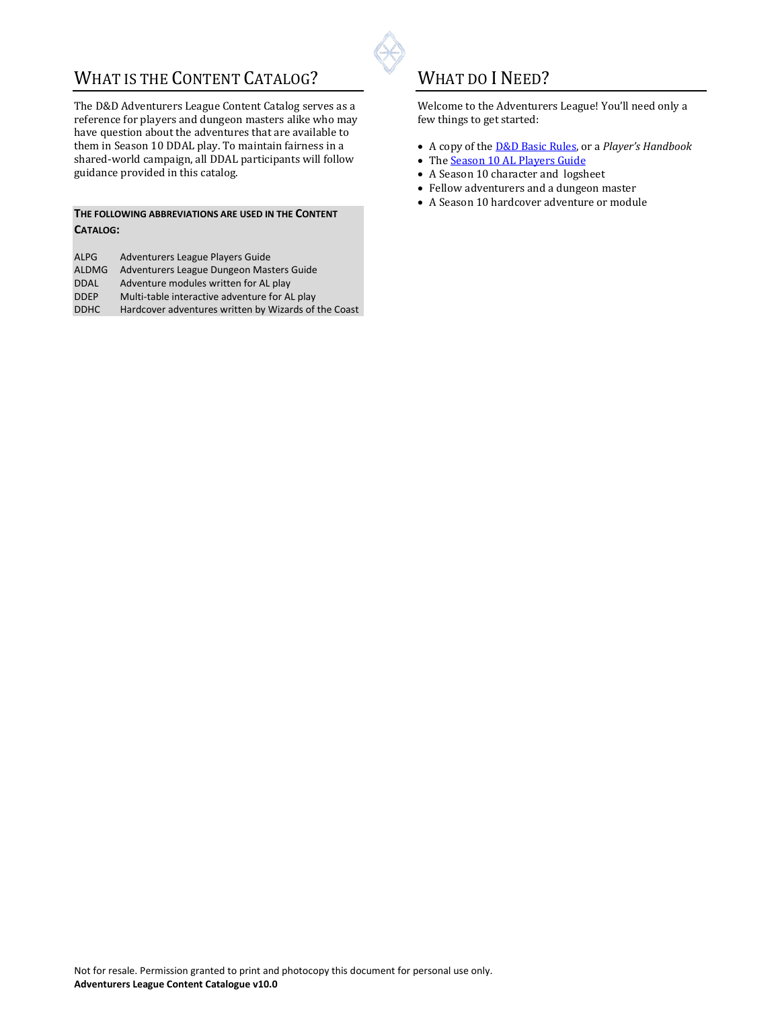## WHAT IS THE CONTENT CATALOG?

The D&D Adventurers League Content Catalog serves as a reference for players and dungeon masters alike who may have question about the adventures that are available to them in Season 10 DDAL play. To maintain fairness in a shared-world campaign, all DDAL participants will follow guidance provided in this catalog.

#### **THE FOLLOWING ABBREVIATIONS ARE USED IN THE CONTENT CATALOG:**

| ALPG         | Adventurers League Players Guide                     |
|--------------|------------------------------------------------------|
| <b>ALDMG</b> | Adventurers League Dungeon Masters Guide             |
| <b>DDAL</b>  | Adventure modules written for AL play                |
| <b>DDEP</b>  | Multi-table interactive adventure for AL play        |
| <b>DDHC</b>  | Hardcover adventures written by Wizards of the Coast |
|              |                                                      |

## WHAT DO I NEED?

Welcome to the Adventurers League! You'll need only a few things to get started:

- A copy of th[e D&D Basic Rules,](https://dnd.wizards.com/articles/features/basicrules) or a *Player's Handbook*
- The [Season 10 AL Players Guide](https://dnd.wizards.com/ddal_general)
- A Season 10 character and logsheet
- Fellow adventurers and a dungeon master
- A Season 10 hardcover adventure or module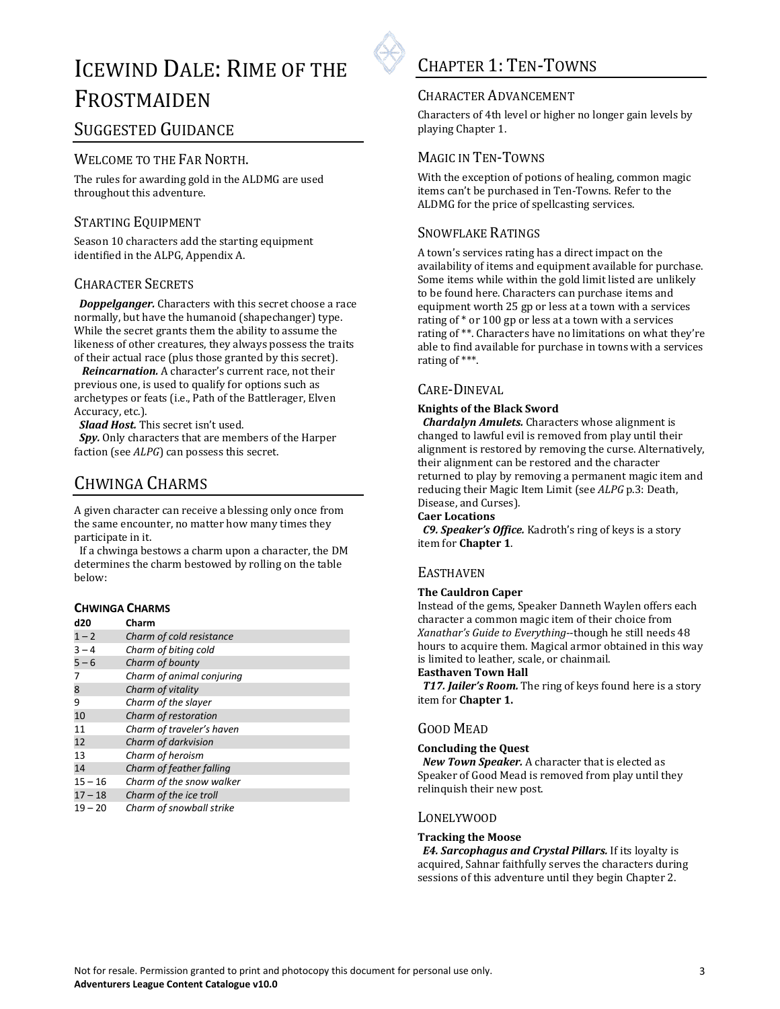

# ICEWIND DALE: RIME OF THE FROSTMAIDEN

### SUGGESTED GUIDANCE

### WELCOME TO THE FAR NORTH.

The rules for awarding gold in the ALDMG are used throughout this adventure.

### STARTING EQUIPMENT

Season 10 characters add the starting equipment identified in the ALPG, Appendix A.

### CHARACTER SECRETS

 *Doppelganger.* Characters with this secret choose a race normally, but have the humanoid (shapechanger) type. While the secret grants them the ability to assume the likeness of other creatures, they always possess the traits of their actual race (plus those granted by this secret).

 *Reincarnation.* A character's current race, not their previous one, is used to qualify for options such as archetypes or feats (i.e., Path of the Battlerager, Elven Accuracy, etc.).

 *Slaad Host.* This secret isn't used.

*Spy.* Only characters that are members of the Harper faction (see *ALPG*) can possess this secret.

## CHWINGA CHARMS

A given character can receive a blessing only once from the same encounter, no matter how many times they participate in it.

If a chwinga bestows a charm upon a character, the DM determines the charm bestowed by rolling on the table below:

#### **CHWINGA CHARMS**

| d20       | Charm                     |
|-----------|---------------------------|
| $1 - 2$   | Charm of cold resistance  |
| $3 - 4$   | Charm of biting cold      |
| $5 - 6$   | Charm of bounty           |
| 7         | Charm of animal conjuring |
| 8         | Charm of vitality         |
| 9         | Charm of the slayer       |
| 10        | Charm of restoration      |
| 11        | Charm of traveler's haven |
| 12        | Charm of darkvision       |
| 13        | Charm of heroism          |
| 14        | Charm of feather falling  |
| $15 - 16$ | Charm of the snow walker  |
| $17 - 18$ | Charm of the ice troll    |
| $19 - 20$ | Charm of snowball strike  |

## CHAPTER 1: TEN-TOWNS

### CHARACTER ADVANCEMENT

Characters of 4th level or higher no longer gain levels by playing Chapter 1.

### MAGIC IN TEN-TOWNS

With the exception of potions of healing, common magic items can't be purchased in Ten-Towns. Refer to the ALDMG for the price of spellcasting services.

### SNOWFLAKE RATINGS

A town's services rating has a direct impact on the availability of items and equipment available for purchase. Some items while within the gold limit listed are unlikely to be found here. Characters can purchase items and equipment worth 25 gp or less at a town with a services rating of \* or 100 gp or less at a town with a services rating of \*\*. Characters have no limitations on what they're able to find available for purchase in towns with a services rating of \*\*\*.

### CARE-DINEVAL

#### **Knights of the Black Sword**

 *Chardalyn Amulets.* Characters whose alignment is changed to lawful evil is removed from play until their alignment is restored by removing the curse. Alternatively, their alignment can be restored and the character returned to play by removing a permanent magic item and reducing their Magic Item Limit (see *ALPG* p.3: Death, Disease, and Curses).

#### **Caer Locations**

 *C9. Speaker's Office.* Kadroth's ring of keys is a story item for **Chapter 1**.

### **EASTHAVEN**

#### **The Cauldron Caper**

Instead of the gems, Speaker Danneth Waylen offers each character a common magic item of their choice from *Xanathar's Guide to Everything*--though he still needs 48 hours to acquire them. Magical armor obtained in this way is limited to leather, scale, or chainmail.

#### **Easthaven Town Hall**

*T17. Jailer's Room.* The ring of keys found here is a story item for **Chapter 1.** 

### GOOD MEAD

#### **Concluding the Quest**

 *New Town Speaker.* A character that is elected as Speaker of Good Mead is removed from play until they relinquish their new post.

#### LONELYWOOD

#### **Tracking the Moose**

*E4. Sarcophagus and Crystal Pillars.* If its loyalty is acquired, Sahnar faithfully serves the characters during sessions of this adventure until they begin Chapter 2.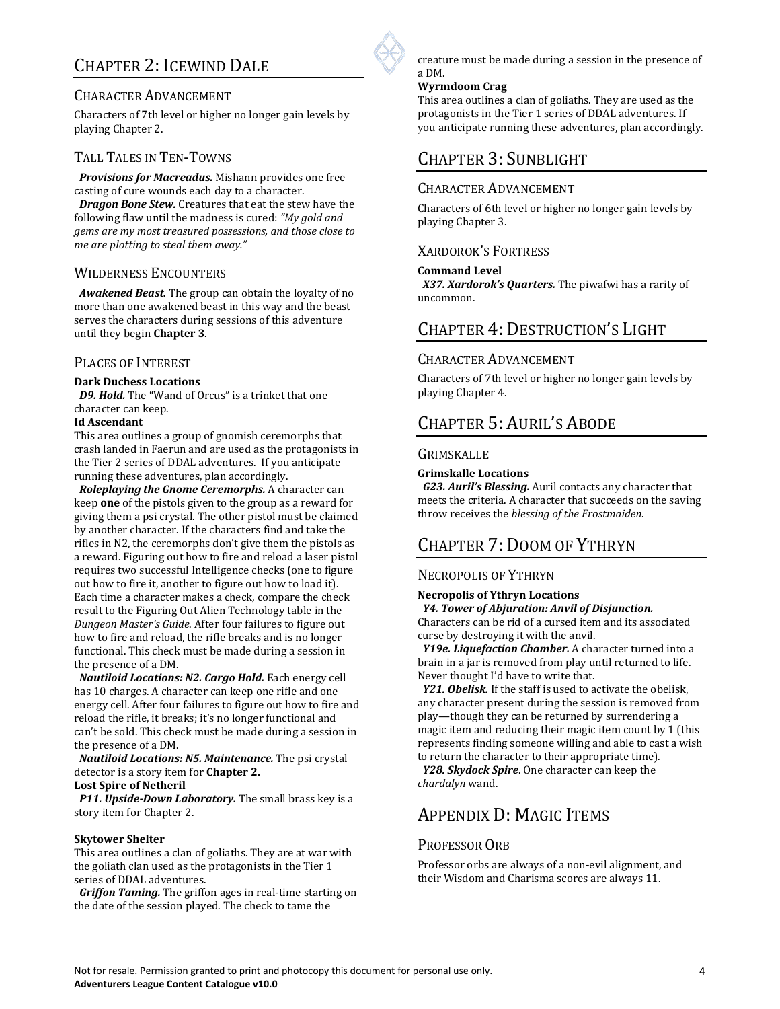## CHAPTER 2: ICEWIND DALE

### CHARACTER ADVANCEMENT

Characters of 7th level or higher no longer gain levels by playing Chapter 2.

### TALL TALES IN TEN-TOWNS

 *Provisions for Macreadus.* Mishann provides one free casting of cure wounds each day to a character.

 *Dragon Bone Stew.* Creatures that eat the stew have the following flaw until the madness is cured: *"My gold and gems are my most treasured possessions, and those close to me are plotting to steal them away."* 

#### WILDERNESS ENCOUNTERS

 *Awakened Beast.* The group can obtain the loyalty of no more than one awakened beast in this way and the beast serves the characters during sessions of this adventure until they begin **Chapter 3**.

#### PLACES OF INTEREST

#### **Dark Duchess Locations**

 *D9. Hold.* The "Wand of Orcus" is a trinket that one character can keep.

#### **Id Ascendant**

This area outlines a group of gnomish ceremorphs that crash landed in Faerun and are used as the protagonists in the Tier 2 series of DDAL adventures. If you anticipate running these adventures, plan accordingly.

*Roleplaying the Gnome Ceremorphs.* A character can keep **one** of the pistols given to the group as a reward for giving them a psi crystal. The other pistol must be claimed by another character. If the characters find and take the rifles in N2, the ceremorphs don't give them the pistols as a reward. Figuring out how to fire and reload a laser pistol requires two successful Intelligence checks (one to figure out how to fire it, another to figure out how to load it). Each time a character makes a check, compare the check result to the Figuring Out Alien Technology table in the *Dungeon Master's Guide*. After four failures to figure out how to fire and reload, the rifle breaks and is no longer functional. This check must be made during a session in the presence of a DM.

 *Nautiloid Locations: N2. Cargo Hold.* Each energy cell has 10 charges. A character can keep one rifle and one energy cell. After four failures to figure out how to fire and reload the rifle, it breaks; it's no longer functional and can't be sold. This check must be made during a session in the presence of a DM.

 *Nautiloid Locations: N5. Maintenance.* The psi crystal detector is a story item for **Chapter 2.**

**Lost Spire of Netheril** 

 *P11. Upside-Down Laboratory.* The small brass key is a story item for Chapter 2.

#### **Skytower Shelter**

This area outlines a clan of goliaths. They are at war with the goliath clan used as the protagonists in the Tier 1 series of DDAL adventures.

 *Griffon Taming.* The griffon ages in real-time starting on the date of the session played. The check to tame the

creature must be made during a session in the presence of a DM.

#### **Wyrmdoom Crag**

This area outlines a clan of goliaths. They are used as the protagonists in the Tier 1 series of DDAL adventures. If you anticipate running these adventures, plan accordingly.

### CHAPTER 3: SUNBLIGHT

### CHARACTER ADVANCEMENT

Characters of 6th level or higher no longer gain levels by playing Chapter 3.

#### XARDOROK'S FORTRESS

#### **Command Level**

 *X37. Xardorok's Quarters.* The piwafwi has a rarity of uncommon.

## CHAPTER 4: DESTRUCTION'S LIGHT

#### CHARACTER ADVANCEMENT

Characters of 7th level or higher no longer gain levels by playing Chapter 4.

## CHAPTER 5: AURIL'S ABODE

#### **GRIMSKALLE**

#### **Grimskalle Locations**

 *G23. Auril's Blessing.* Auril contacts any character that meets the criteria. A character that succeeds on the saving throw receives the *blessing of the Frostmaiden*.

## CHAPTER 7: DOOM OF YTHRYN

### NECROPOLIS OF YTHRYN

#### **Necropolis of Ythryn Locations**

 *Y4. Tower of Abjuration: Anvil of Disjunction.* 

Characters can be rid of a cursed item and its associated curse by destroying it with the anvil.

 *Y19e. Liquefaction Chamber.* A character turned into a brain in a jar is removed from play until returned to life. Never thought I'd have to write that.

 *Y21. Obelisk.* If the staff is used to activate the obelisk, any character present during the session is removed from play—though they can be returned by surrendering a magic item and reducing their magic item count by 1 (this represents finding someone willing and able to cast a wish to return the character to their appropriate time).

 *Y28. Skydock Spire*. One character can keep the *chardalyn* wand.

## APPENDIX D: MAGIC ITEMS

### PROFESSOR ORB

Professor orbs are always of a non-evil alignment, and their Wisdom and Charisma scores are always 11.